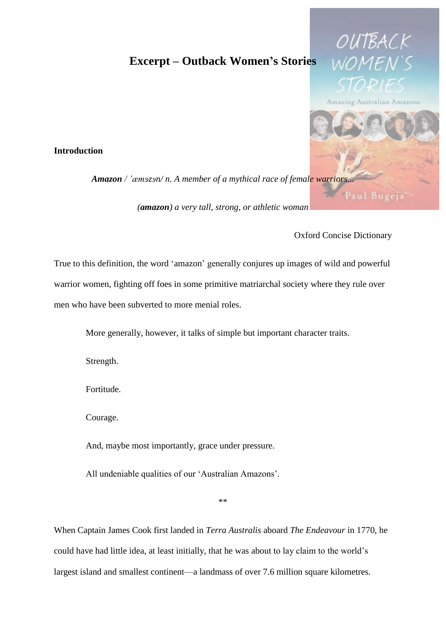## **Excerpt – Outback Women's Stories**

## **Introduction**

*Amazon / 'æmɘzɘn/ n. A member of a mythical race of female warriors...*

*(amazon) a very tall, strong, or athletic woman*

Oxford Concise Dictionary

OUTBAC

Amazing Australian Amazons

True to this definition, the word 'amazon' generally conjures up images of wild and powerful warrior women, fighting off foes in some primitive matriarchal society where they rule over men who have been subverted to more menial roles.

More generally, however, it talks of simple but important character traits.

Strength.

Fortitude.

Courage.

And, maybe most importantly, grace under pressure.

All undeniable qualities of our 'Australian Amazons'.

\*\*

When Captain James Cook first landed in *Terra Australis* aboard *The Endeavour* in 1770, he could have had little idea, at least initially, that he was about to lay claim to the world's largest island and smallest continent—a landmass of over 7.6 million square kilometres.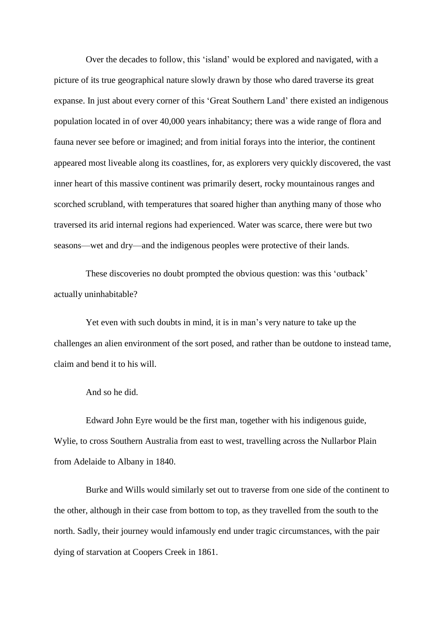Over the decades to follow, this 'island' would be explored and navigated, with a picture of its true geographical nature slowly drawn by those who dared traverse its great expanse. In just about every corner of this 'Great Southern Land' there existed an indigenous population located in of over 40,000 years inhabitancy; there was a wide range of flora and fauna never see before or imagined; and from initial forays into the interior, the continent appeared most liveable along its coastlines, for, as explorers very quickly discovered, the vast inner heart of this massive continent was primarily desert, rocky mountainous ranges and scorched scrubland, with temperatures that soared higher than anything many of those who traversed its arid internal regions had experienced. Water was scarce, there were but two seasons—wet and dry—and the indigenous peoples were protective of their lands.

These discoveries no doubt prompted the obvious question: was this 'outback' actually uninhabitable?

Yet even with such doubts in mind, it is in man's very nature to take up the challenges an alien environment of the sort posed, and rather than be outdone to instead tame, claim and bend it to his will.

And so he did.

Edward John Eyre would be the first man, together with his indigenous guide, Wylie, to cross Southern Australia from east to west, travelling across the Nullarbor Plain from Adelaide to Albany in 1840.

Burke and Wills would similarly set out to traverse from one side of the continent to the other, although in their case from bottom to top, as they travelled from the south to the north. Sadly, their journey would infamously end under tragic circumstances, with the pair dying of starvation at Coopers Creek in 1861.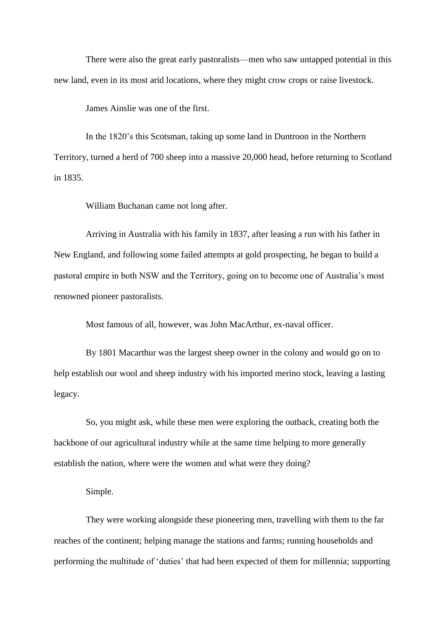There were also the great early pastoralists—men who saw untapped potential in this new land, even in its most arid locations, where they might crow crops or raise livestock.

James Ainslie was one of the first.

In the 1820's this Scotsman, taking up some land in Duntroon in the Northern Territory, turned a herd of 700 sheep into a massive 20,000 head, before returning to Scotland in 1835.

William Buchanan came not long after.

Arriving in Australia with his family in 1837, after leasing a run with his father in New England, and following some failed attempts at gold prospecting, he began to build a pastoral empire in both NSW and the Territory, going on to become one of Australia's most renowned pioneer pastoralists.

Most famous of all, however, was John MacArthur, ex-naval officer.

By 1801 Macarthur was the largest sheep owner in the colony and would go on to help establish our wool and sheep industry with his imported merino stock, leaving a lasting legacy.

So, you might ask, while these men were exploring the outback, creating both the backbone of our agricultural industry while at the same time helping to more generally establish the nation, where were the women and what were they doing?

Simple.

They were working alongside these pioneering men, travelling with them to the far reaches of the continent; helping manage the stations and farms; running households and performing the multitude of 'duties' that had been expected of them for millennia; supporting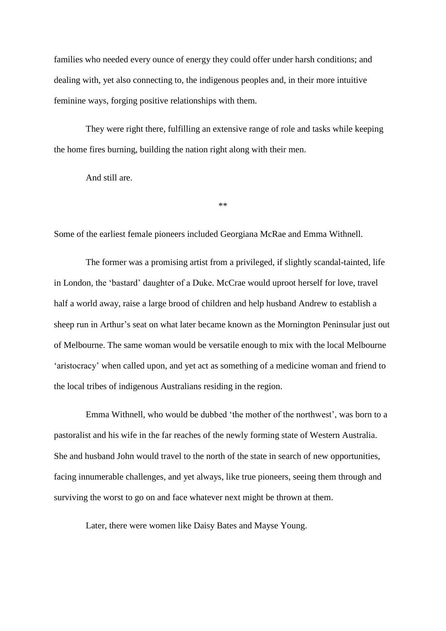families who needed every ounce of energy they could offer under harsh conditions; and dealing with, yet also connecting to, the indigenous peoples and, in their more intuitive feminine ways, forging positive relationships with them.

They were right there, fulfilling an extensive range of role and tasks while keeping the home fires burning, building the nation right along with their men.

And still are.

\*\*

Some of the earliest female pioneers included Georgiana McRae and Emma Withnell.

The former was a promising artist from a privileged, if slightly scandal-tainted, life in London, the 'bastard' daughter of a Duke. McCrae would uproot herself for love, travel half a world away, raise a large brood of children and help husband Andrew to establish a sheep run in Arthur's seat on what later became known as the Mornington Peninsular just out of Melbourne. The same woman would be versatile enough to mix with the local Melbourne 'aristocracy' when called upon, and yet act as something of a medicine woman and friend to the local tribes of indigenous Australians residing in the region.

Emma Withnell, who would be dubbed 'the mother of the northwest', was born to a pastoralist and his wife in the far reaches of the newly forming state of Western Australia. She and husband John would travel to the north of the state in search of new opportunities, facing innumerable challenges, and yet always, like true pioneers, seeing them through and surviving the worst to go on and face whatever next might be thrown at them.

Later, there were women like Daisy Bates and Mayse Young.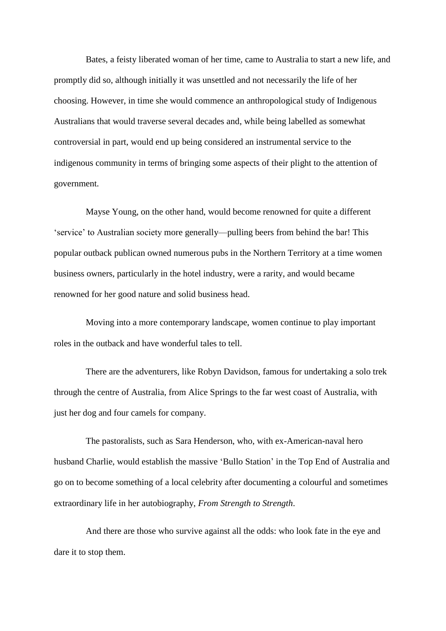Bates, a feisty liberated woman of her time, came to Australia to start a new life, and promptly did so, although initially it was unsettled and not necessarily the life of her choosing. However, in time she would commence an anthropological study of Indigenous Australians that would traverse several decades and, while being labelled as somewhat controversial in part, would end up being considered an instrumental service to the indigenous community in terms of bringing some aspects of their plight to the attention of government.

Mayse Young, on the other hand, would become renowned for quite a different 'service' to Australian society more generally—pulling beers from behind the bar! This popular outback publican owned numerous pubs in the Northern Territory at a time women business owners, particularly in the hotel industry, were a rarity, and would became renowned for her good nature and solid business head.

Moving into a more contemporary landscape, women continue to play important roles in the outback and have wonderful tales to tell.

There are the adventurers, like Robyn Davidson, famous for undertaking a solo trek through the centre of Australia, from Alice Springs to the far west coast of Australia, with just her dog and four camels for company.

The pastoralists, such as Sara Henderson, who, with ex-American-naval hero husband Charlie, would establish the massive 'Bullo Station' in the Top End of Australia and go on to become something of a local celebrity after documenting a colourful and sometimes extraordinary life in her autobiography, *From Strength to Strength*.

And there are those who survive against all the odds: who look fate in the eye and dare it to stop them.